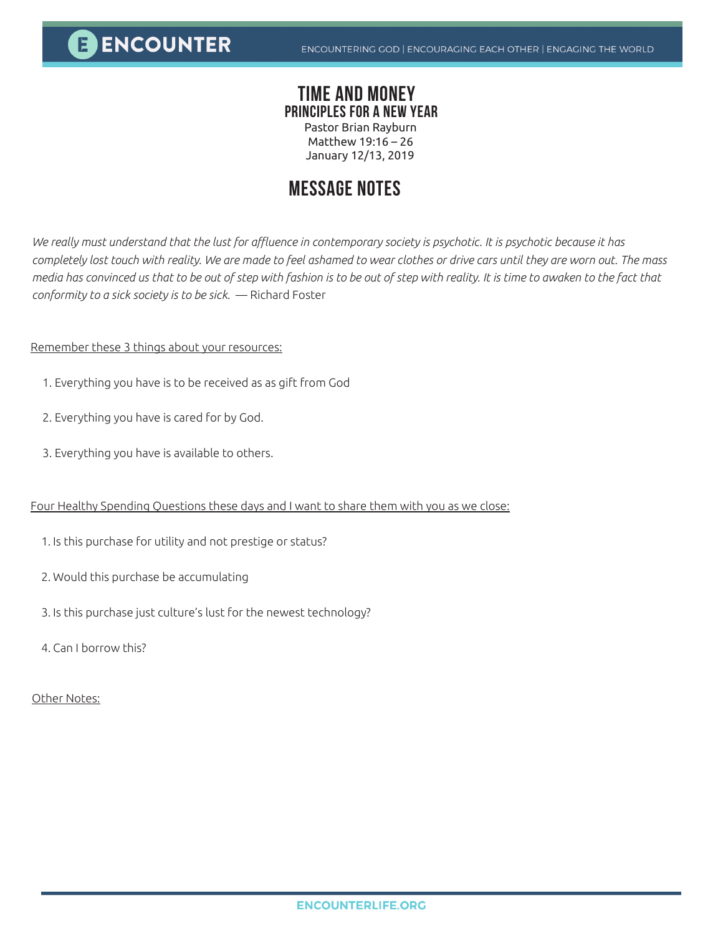**E ENCOUNTER** 

## **TIME AND MONEY PRINCIPLES FOR A NEW YEAR**

Pastor Brian Rayburn Matthew 19:16 – 26 January 12/13, 2019

# **MESSAGE NOTES**

*We really must understand that the lust for affluence in contemporary society is psychotic. It is psychotic because it has completely lost touch with reality. We are made to feel ashamed to wear clothes or drive cars until they are worn out. The mass media has convinced us that to be out of step with fashion is to be out of step with reality. It is time to awaken to the fact that conformity to a sick society is to be sick.* — Richard Foster

### Remember these 3 things about your resources:

- 1. Everything you have is to be received as as gift from God
- 2. Everything you have is cared for by God.
- 3. Everything you have is available to others.

#### Four Healthy Spending Questions these days and I want to share them with you as we close:

- 1. Is this purchase for utility and not prestige or status?
- 2. Would this purchase be accumulating
- 3. Is this purchase just culture's lust for the newest technology?
- 4. Can I borrow this?

### Other Notes: